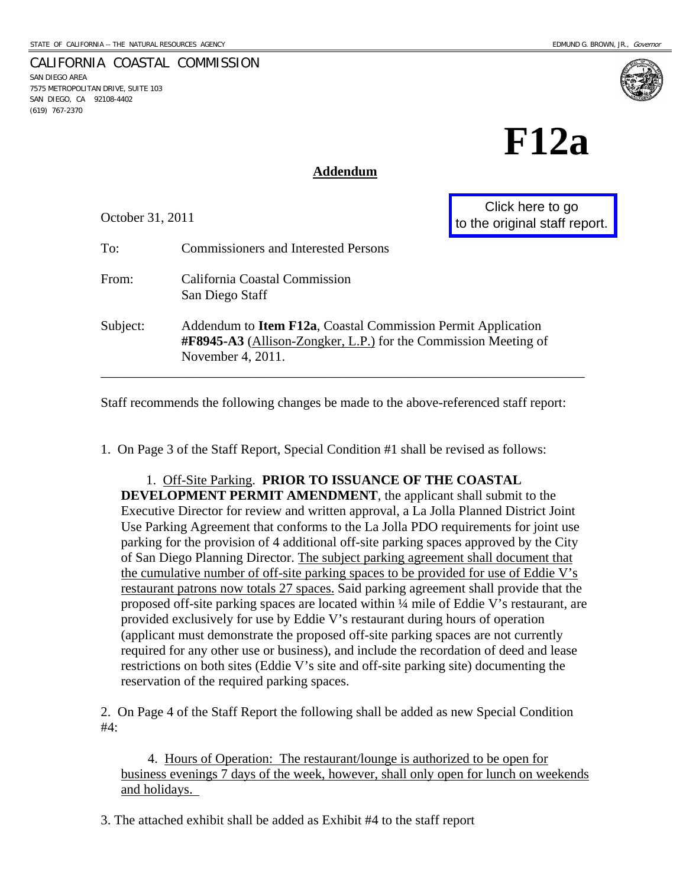7575 METROPOLITAN DRIVE, SUITE 103 SAN DIEGO, CA 92108-4402

SAN DIEGO AREA

(619) 767-2370

CALIFORNIA COASTAL COMMISSION



# **F12a**

#### **Addendum**

| October 31, 2011 |                                                  | Click here to go<br>to the original staff report.                                                                                          |  |
|------------------|--------------------------------------------------|--------------------------------------------------------------------------------------------------------------------------------------------|--|
| To:              | <b>Commissioners and Interested Persons</b>      |                                                                                                                                            |  |
| From:            | California Coastal Commission<br>San Diego Staff |                                                                                                                                            |  |
| Subject:         | November 4, 2011.                                | Addendum to <b>Item F12a</b> , Coastal Commission Permit Application<br>$\#F8945-A3$ (Allison-Zongker, L.P.) for the Commission Meeting of |  |

Staff recommends the following changes be made to the above-referenced staff report:

1. On Page 3 of the Staff Report, Special Condition #1 shall be revised as follows:

 1. Off-Site Parking. **PRIOR TO ISSUANCE OF THE COASTAL DEVELOPMENT PERMIT AMENDMENT**, the applicant shall submit to the Executive Director for review and written approval, a La Jolla Planned District Joint Use Parking Agreement that conforms to the La Jolla PDO requirements for joint use parking for the provision of 4 additional off-site parking spaces approved by the City of San Diego Planning Director. The subject parking agreement shall document that the cumulative number of off-site parking spaces to be provided for use of Eddie V's restaurant patrons now totals 27 spaces. Said parking agreement shall provide that the proposed off-site parking spaces are located within ¼ mile of Eddie V's restaurant, are provided exclusively for use by Eddie V's restaurant during hours of operation (applicant must demonstrate the proposed off-site parking spaces are not currently required for any other use or business), and include the recordation of deed and lease restrictions on both sites (Eddie V's site and off-site parking site) documenting the reservation of the required parking spaces.

2. On Page 4 of the Staff Report the following shall be added as new Special Condition #4:

4. Hours of Operation: The restaurant/lounge is authorized to be open for business evenings 7 days of the week, however, shall only open for lunch on weekends and holidays.

3. The attached exhibit shall be added as Exhibit #4 to the staff report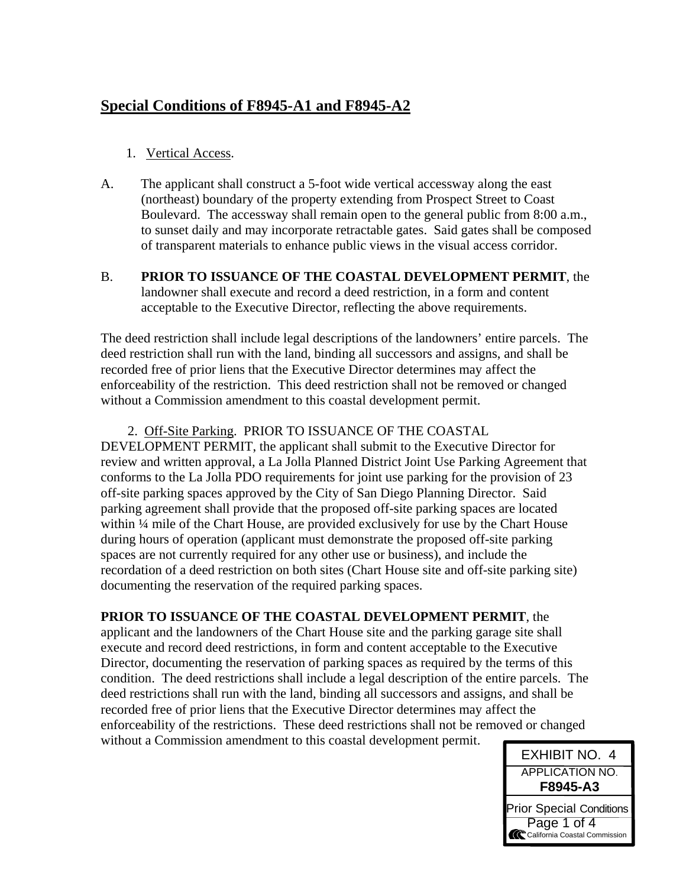### **Special Conditions of F8945-A1 and F8945-A2**

#### 1. Vertical Access.

- A. The applicant shall construct a 5-foot wide vertical accessway along the east (northeast) boundary of the property extending from Prospect Street to Coast Boulevard. The accessway shall remain open to the general public from 8:00 a.m., to sunset daily and may incorporate retractable gates. Said gates shall be composed of transparent materials to enhance public views in the visual access corridor.
- B. **PRIOR TO ISSUANCE OF THE COASTAL DEVELOPMENT PERMIT**, the landowner shall execute and record a deed restriction, in a form and content acceptable to the Executive Director, reflecting the above requirements.

The deed restriction shall include legal descriptions of the landowners' entire parcels. The deed restriction shall run with the land, binding all successors and assigns, and shall be recorded free of prior liens that the Executive Director determines may affect the enforceability of the restriction. This deed restriction shall not be removed or changed without a Commission amendment to this coastal development permit.

2. Off-Site Parking. PRIOR TO ISSUANCE OF THE COASTAL DEVELOPMENT PERMIT, the applicant shall submit to the Executive Director for review and written approval, a La Jolla Planned District Joint Use Parking Agreement that conforms to the La Jolla PDO requirements for joint use parking for the provision of 23 off-site parking spaces approved by the City of San Diego Planning Director. Said parking agreement shall provide that the proposed off-site parking spaces are located within ¼ mile of the Chart House, are provided exclusively for use by the Chart House during hours of operation (applicant must demonstrate the proposed off-site parking spaces are not currently required for any other use or business), and include the recordation of a deed restriction on both sites (Chart House site and off-site parking site) documenting the reservation of the required parking spaces.

#### **PRIOR TO ISSUANCE OF THE COASTAL DEVELOPMENT PERMIT**, the

applicant and the landowners of the Chart House site and the parking garage site shall execute and record deed restrictions, in form and content acceptable to the Executive Director, documenting the reservation of parking spaces as required by the terms of this condition. The deed restrictions shall include a legal description of the entire parcels. The deed restrictions shall run with the land, binding all successors and assigns, and shall be recorded free of prior liens that the Executive Director determines may affect the enforceability of the restrictions. These deed restrictions shall not be removed or changed without a Commission amendment to this coastal development permit.

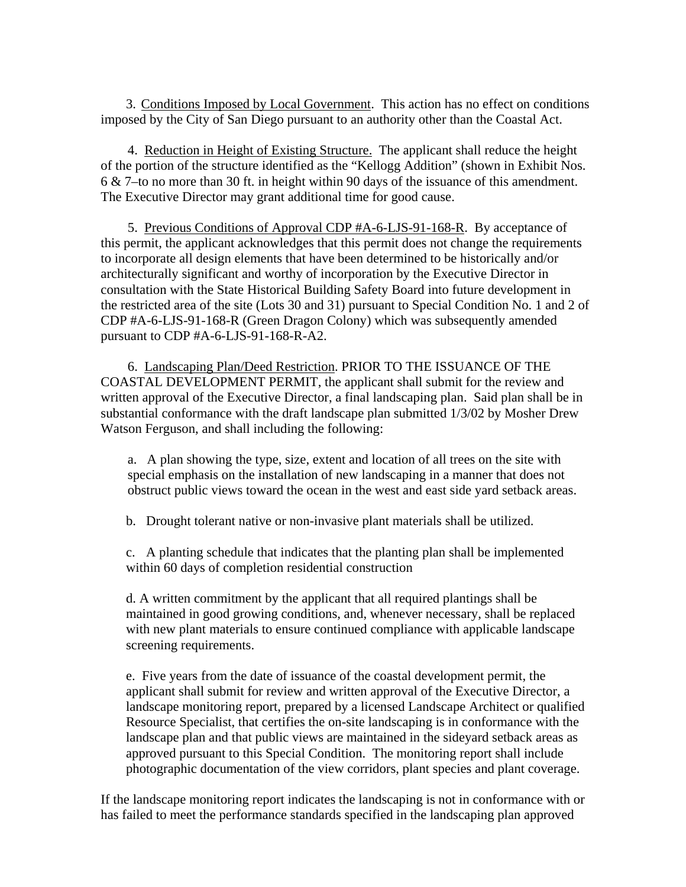3. Conditions Imposed by Local Government. This action has no effect on conditions imposed by the City of San Diego pursuant to an authority other than the Coastal Act.

4. Reduction in Height of Existing Structure. The applicant shall reduce the height of the portion of the structure identified as the "Kellogg Addition" (shown in Exhibit Nos. 6 & 7–to no more than 30 ft. in height within 90 days of the issuance of this amendment. The Executive Director may grant additional time for good cause.

5. Previous Conditions of Approval CDP #A-6-LJS-91-168-R. By acceptance of this permit, the applicant acknowledges that this permit does not change the requirements to incorporate all design elements that have been determined to be historically and/or architecturally significant and worthy of incorporation by the Executive Director in consultation with the State Historical Building Safety Board into future development in the restricted area of the site (Lots 30 and 31) pursuant to Special Condition No. 1 and 2 of CDP #A-6-LJS-91-168-R (Green Dragon Colony) which was subsequently amended pursuant to CDP #A-6-LJS-91-168-R-A2.

6. Landscaping Plan/Deed Restriction. PRIOR TO THE ISSUANCE OF THE COASTAL DEVELOPMENT PERMIT, the applicant shall submit for the review and written approval of the Executive Director, a final landscaping plan. Said plan shall be in substantial conformance with the draft landscape plan submitted 1/3/02 by Mosher Drew Watson Ferguson, and shall including the following:

a. A plan showing the type, size, extent and location of all trees on the site with special emphasis on the installation of new landscaping in a manner that does not obstruct public views toward the ocean in the west and east side yard setback areas.

b. Drought tolerant native or non-invasive plant materials shall be utilized.

c. A planting schedule that indicates that the planting plan shall be implemented within 60 days of completion residential construction

 d. A written commitment by the applicant that all required plantings shall be maintained in good growing conditions, and, whenever necessary, shall be replaced with new plant materials to ensure continued compliance with applicable landscape screening requirements.

e. Five years from the date of issuance of the coastal development permit, the applicant shall submit for review and written approval of the Executive Director, a landscape monitoring report, prepared by a licensed Landscape Architect or qualified Resource Specialist, that certifies the on-site landscaping is in conformance with the landscape plan and that public views are maintained in the sideyard setback areas as approved pursuant to this Special Condition. The monitoring report shall include photographic documentation of the view corridors, plant species and plant coverage.

If the landscape monitoring report indicates the landscaping is not in conformance with or has failed to meet the performance standards specified in the landscaping plan approved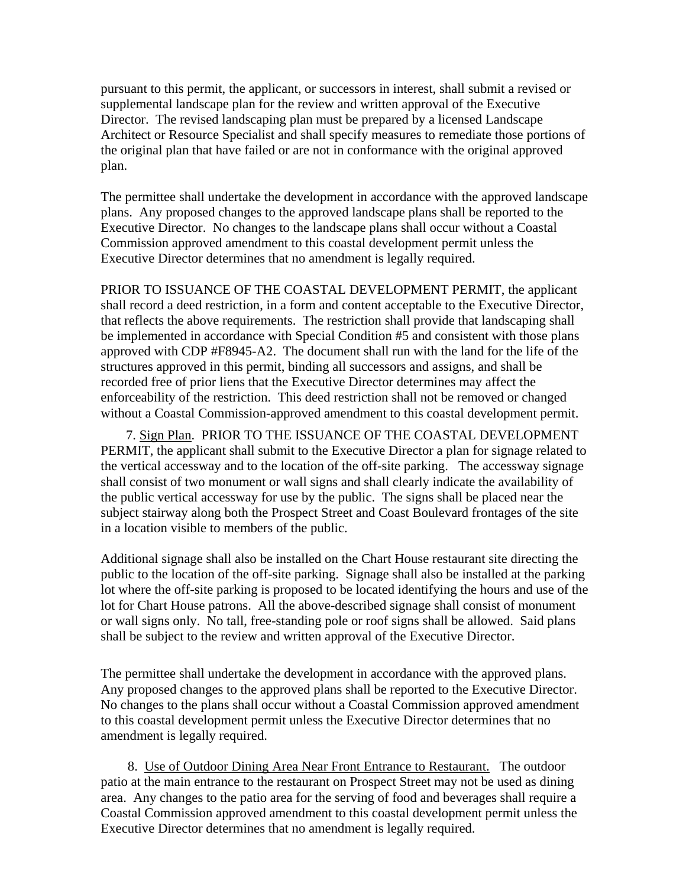pursuant to this permit, the applicant, or successors in interest, shall submit a revised or supplemental landscape plan for the review and written approval of the Executive Director. The revised landscaping plan must be prepared by a licensed Landscape Architect or Resource Specialist and shall specify measures to remediate those portions of the original plan that have failed or are not in conformance with the original approved plan.

The permittee shall undertake the development in accordance with the approved landscape plans. Any proposed changes to the approved landscape plans shall be reported to the Executive Director. No changes to the landscape plans shall occur without a Coastal Commission approved amendment to this coastal development permit unless the Executive Director determines that no amendment is legally required.

PRIOR TO ISSUANCE OF THE COASTAL DEVELOPMENT PERMIT, the applicant shall record a deed restriction, in a form and content acceptable to the Executive Director, that reflects the above requirements. The restriction shall provide that landscaping shall be implemented in accordance with Special Condition #5 and consistent with those plans approved with CDP #F8945-A2. The document shall run with the land for the life of the structures approved in this permit, binding all successors and assigns, and shall be recorded free of prior liens that the Executive Director determines may affect the enforceability of the restriction. This deed restriction shall not be removed or changed without a Coastal Commission-approved amendment to this coastal development permit.

 7. Sign Plan. PRIOR TO THE ISSUANCE OF THE COASTAL DEVELOPMENT PERMIT, the applicant shall submit to the Executive Director a plan for signage related to the vertical accessway and to the location of the off-site parking. The accessway signage shall consist of two monument or wall signs and shall clearly indicate the availability of the public vertical accessway for use by the public. The signs shall be placed near the subject stairway along both the Prospect Street and Coast Boulevard frontages of the site in a location visible to members of the public.

Additional signage shall also be installed on the Chart House restaurant site directing the public to the location of the off-site parking. Signage shall also be installed at the parking lot where the off-site parking is proposed to be located identifying the hours and use of the lot for Chart House patrons. All the above-described signage shall consist of monument or wall signs only. No tall, free-standing pole or roof signs shall be allowed. Said plans shall be subject to the review and written approval of the Executive Director.

The permittee shall undertake the development in accordance with the approved plans. Any proposed changes to the approved plans shall be reported to the Executive Director. No changes to the plans shall occur without a Coastal Commission approved amendment to this coastal development permit unless the Executive Director determines that no amendment is legally required.

8. Use of Outdoor Dining Area Near Front Entrance to Restaurant. The outdoor patio at the main entrance to the restaurant on Prospect Street may not be used as dining area. Any changes to the patio area for the serving of food and beverages shall require a Coastal Commission approved amendment to this coastal development permit unless the Executive Director determines that no amendment is legally required.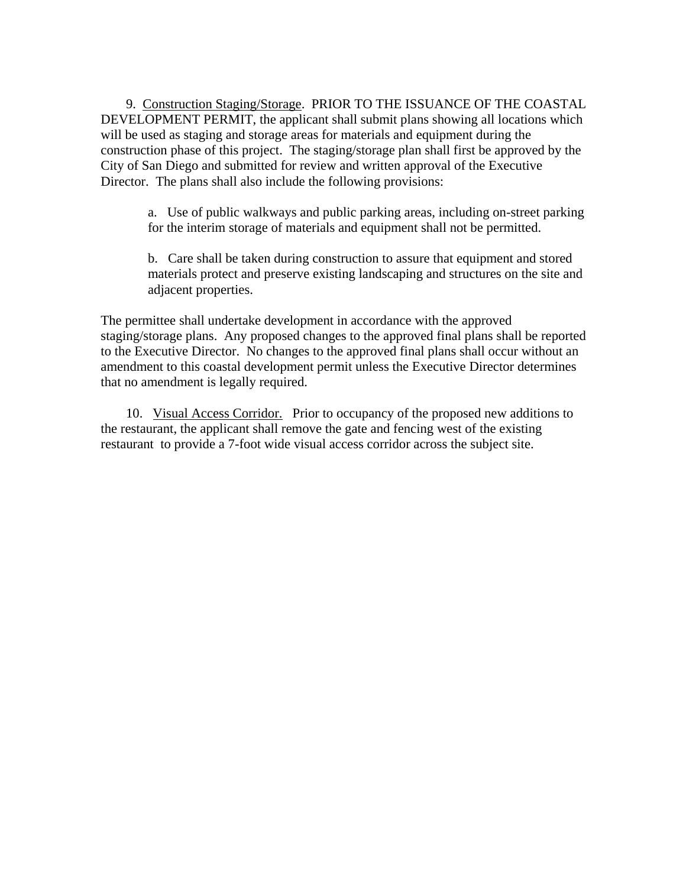9. Construction Staging/Storage. PRIOR TO THE ISSUANCE OF THE COASTAL DEVELOPMENT PERMIT, the applicant shall submit plans showing all locations which will be used as staging and storage areas for materials and equipment during the construction phase of this project. The staging/storage plan shall first be approved by the City of San Diego and submitted for review and written approval of the Executive Director. The plans shall also include the following provisions:

a. Use of public walkways and public parking areas, including on-street parking for the interim storage of materials and equipment shall not be permitted.

b. Care shall be taken during construction to assure that equipment and stored materials protect and preserve existing landscaping and structures on the site and adjacent properties.

The permittee shall undertake development in accordance with the approved staging/storage plans. Any proposed changes to the approved final plans shall be reported to the Executive Director. No changes to the approved final plans shall occur without an amendment to this coastal development permit unless the Executive Director determines that no amendment is legally required.

 10. Visual Access Corridor. Prior to occupancy of the proposed new additions to the restaurant, the applicant shall remove the gate and fencing west of the existing restaurant to provide a 7-foot wide visual access corridor across the subject site.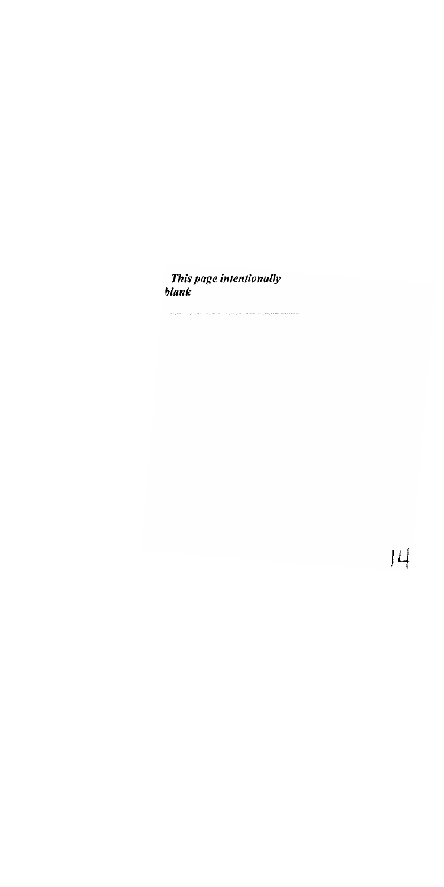## This page intentionally  $blank$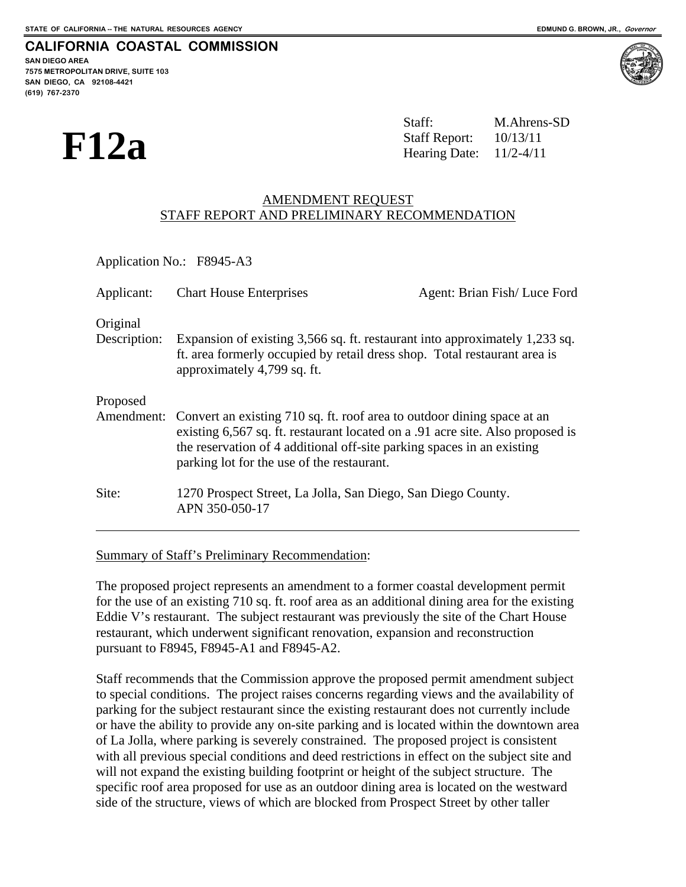<span id="page-6-0"></span>**CALIFORNIA COASTAL COMMISSION SAN DIEGO AREA 7575 METROPOLITAN DRIVE, SUITE 103 SAN DIEGO, CA 92108-4421 (619) 767-2370**





 **Staff Report:**  $10/13/11$ **<br>Hearing Date:**  $11/2-4/11$  Staff: M.Ahrens-SD **Staff Report:** 

#### AMENDMENT REQUEST STAFF REPORT AND PRELIMINARY RECOMMENDATION

|                          | Application No.: F8945-A3                                                                                                                                                                                                                                                                    |                             |
|--------------------------|----------------------------------------------------------------------------------------------------------------------------------------------------------------------------------------------------------------------------------------------------------------------------------------------|-----------------------------|
| Applicant:               | <b>Chart House Enterprises</b>                                                                                                                                                                                                                                                               | Agent: Brian Fish/Luce Ford |
| Original<br>Description: | Expansion of existing 3,566 sq. ft. restaurant into approximately 1,233 sq.<br>ft. area formerly occupied by retail dress shop. Total restaurant area is<br>approximately 4,799 sq. ft.                                                                                                      |                             |
| Proposed                 | Amendment: Convert an existing 710 sq. ft. roof area to outdoor dining space at an<br>existing 6,567 sq. ft. restaurant located on a .91 acre site. Also proposed is<br>the reservation of 4 additional off-site parking spaces in an existing<br>parking lot for the use of the restaurant. |                             |
| Site:                    | 1270 Prospect Street, La Jolla, San Diego, San Diego County.<br>APN 350-050-17                                                                                                                                                                                                               |                             |

#### Summary of Staff's Preliminary Recommendation:

The proposed project represents an amendment to a former coastal development permit for the use of an existing 710 sq. ft. roof area as an additional dining area for the existing Eddie V's restaurant. The subject restaurant was previously the site of the Chart House restaurant, which underwent significant renovation, expansion and reconstruction pursuant to F8945, F8945-A1 and F8945-A2.

Staff recommends that the Commission approve the proposed permit amendment subject to special conditions. The project raises concerns regarding views and the availability of parking for the subject restaurant since the existing restaurant does not currently include or have the ability to provide any on-site parking and is located within the downtown area of La Jolla, where parking is severely constrained. The proposed project is consistent with all previous special conditions and deed restrictions in effect on the subject site and will not expand the existing building footprint or height of the subject structure. The specific roof area proposed for use as an outdoor dining area is located on the westward side of the structure, views of which are blocked from Prospect Street by other taller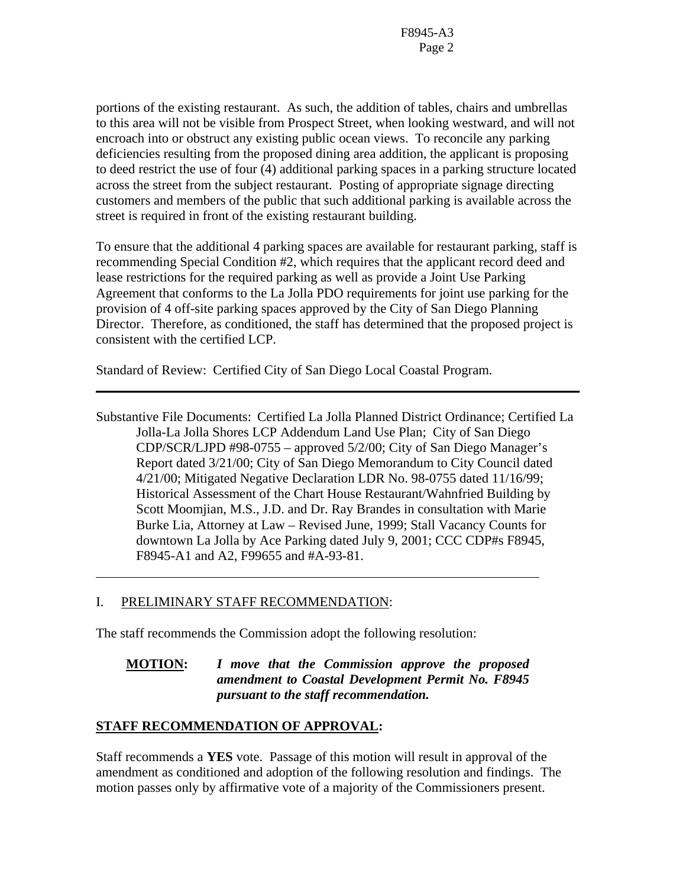portions of the existing restaurant. As such, the addition of tables, chairs and umbrellas to this area will not be visible from Prospect Street, when looking westward, and will not encroach into or obstruct any existing public ocean views. To reconcile any parking deficiencies resulting from the proposed dining area addition, the applicant is proposing to deed restrict the use of four (4) additional parking spaces in a parking structure located across the street from the subject restaurant. Posting of appropriate signage directing customers and members of the public that such additional parking is available across the street is required in front of the existing restaurant building.

To ensure that the additional 4 parking spaces are available for restaurant parking, staff is recommending Special Condition #2, which requires that the applicant record deed and lease restrictions for the required parking as well as provide a Joint Use Parking Agreement that conforms to the La Jolla PDO requirements for joint use parking for the provision of 4 off-site parking spaces approved by the City of San Diego Planning Director. Therefore, as conditioned, the staff has determined that the proposed project is consistent with the certified LCP.

\_\_\_\_\_\_\_\_\_\_\_\_\_\_\_\_\_\_\_\_\_\_\_\_\_\_\_\_\_\_\_\_\_\_\_\_\_\_\_\_\_\_\_\_\_\_\_\_\_\_\_\_\_\_\_\_\_\_\_\_\_\_\_\_\_\_\_\_\_\_\_\_

Standard of Review: Certified City of San Diego Local Coastal Program.

Substantive File Documents: Certified La Jolla Planned District Ordinance; Certified La Jolla-La Jolla Shores LCP Addendum Land Use Plan; City of San Diego CDP/SCR/LJPD #98-0755 – approved 5/2/00; City of San Diego Manager's Report dated 3/21/00; City of San Diego Memorandum to City Council dated 4/21/00; Mitigated Negative Declaration LDR No. 98-0755 dated 11/16/99; Historical Assessment of the Chart House Restaurant/Wahnfried Building by Scott Moomjian, M.S., J.D. and Dr. Ray Brandes in consultation with Marie Burke Lia, Attorney at Law – Revised June, 1999; Stall Vacancy Counts for downtown La Jolla by Ace Parking dated July 9, 2001; CCC CDP#s F8945, F8945-A1 and A2, F99655 and #A-93-81.

#### I. PRELIMINARY STAFF RECOMMENDATION:

l

The staff recommends the Commission adopt the following resolution:

**MOTION:** *I move that the Commission approve the proposed amendment to Coastal Development Permit No. F8945 pursuant to the staff recommendation.*

#### **STAFF RECOMMENDATION OF APPROVAL:**

Staff recommends a **YES** vote. Passage of this motion will result in approval of the amendment as conditioned and adoption of the following resolution and findings. The motion passes only by affirmative vote of a majority of the Commissioners present.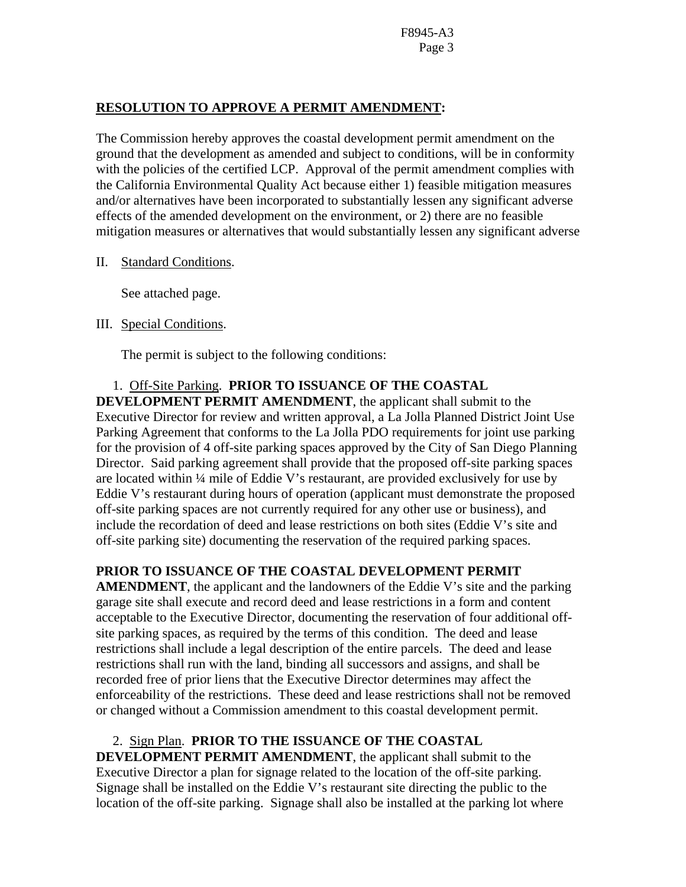#### **RESOLUTION TO APPROVE A PERMIT AMENDMENT:**

The Commission hereby approves the coastal development permit amendment on the ground that the development as amended and subject to conditions, will be in conformity with the policies of the certified LCP. Approval of the permit amendment complies with the California Environmental Quality Act because either 1) feasible mitigation measures and/or alternatives have been incorporated to substantially lessen any significant adverse effects of the amended development on the environment, or 2) there are no feasible mitigation measures or alternatives that would substantially lessen any significant adverse

II. Standard Conditions.

See attached page.

#### III. Special Conditions.

The permit is subject to the following conditions:

#### 1. Off-Site Parking. **PRIOR TO ISSUANCE OF THE COASTAL**

**DEVELOPMENT PERMIT AMENDMENT**, the applicant shall submit to the Executive Director for review and written approval, a La Jolla Planned District Joint Use Parking Agreement that conforms to the La Jolla PDO requirements for joint use parking for the provision of 4 off-site parking spaces approved by the City of San Diego Planning Director. Said parking agreement shall provide that the proposed off-site parking spaces are located within ¼ mile of Eddie V's restaurant, are provided exclusively for use by Eddie V's restaurant during hours of operation (applicant must demonstrate the proposed off-site parking spaces are not currently required for any other use or business), and include the recordation of deed and lease restrictions on both sites (Eddie V's site and off-site parking site) documenting the reservation of the required parking spaces.

#### **PRIOR TO ISSUANCE OF THE COASTAL DEVELOPMENT PERMIT**

**AMENDMENT**, the applicant and the landowners of the Eddie V's site and the parking garage site shall execute and record deed and lease restrictions in a form and content acceptable to the Executive Director, documenting the reservation of four additional offsite parking spaces, as required by the terms of this condition. The deed and lease restrictions shall include a legal description of the entire parcels. The deed and lease restrictions shall run with the land, binding all successors and assigns, and shall be recorded free of prior liens that the Executive Director determines may affect the enforceability of the restrictions. These deed and lease restrictions shall not be removed or changed without a Commission amendment to this coastal development permit.

 2. Sign Plan. **PRIOR TO THE ISSUANCE OF THE COASTAL DEVELOPMENT PERMIT AMENDMENT**, the applicant shall submit to the Executive Director a plan for signage related to the location of the off-site parking. Signage shall be installed on the Eddie V's restaurant site directing the public to the location of the off-site parking. Signage shall also be installed at the parking lot where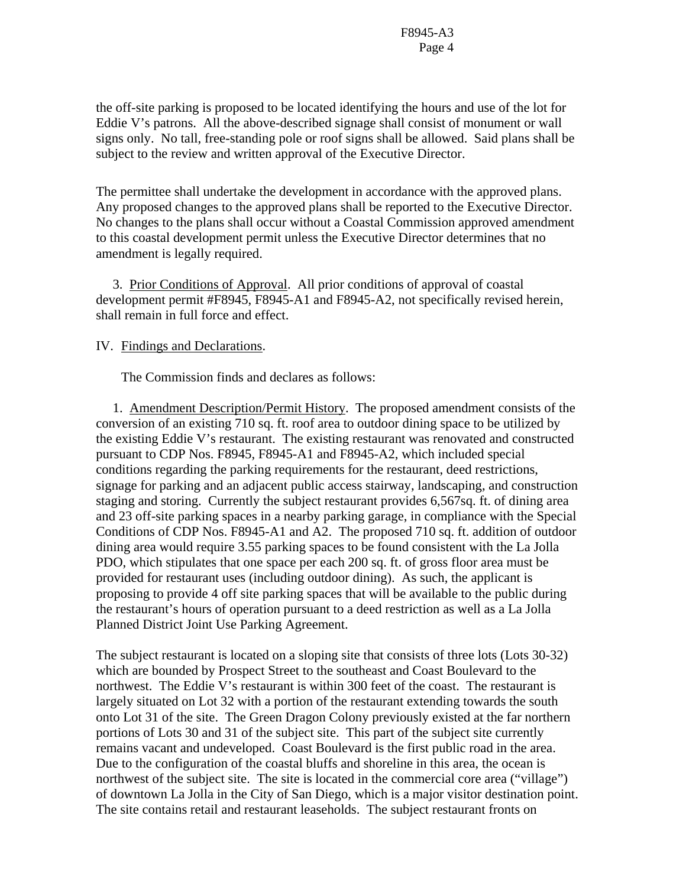the off-site parking is proposed to be located identifying the hours and use of the lot for Eddie V's patrons. All the above-described signage shall consist of monument or wall signs only. No tall, free-standing pole or roof signs shall be allowed. Said plans shall be subject to the review and written approval of the Executive Director.

The permittee shall undertake the development in accordance with the approved plans. Any proposed changes to the approved plans shall be reported to the Executive Director. No changes to the plans shall occur without a Coastal Commission approved amendment to this coastal development permit unless the Executive Director determines that no amendment is legally required.

 3. Prior Conditions of Approval. All prior conditions of approval of coastal development permit #F8945, F8945-A1 and F8945-A2, not specifically revised herein, shall remain in full force and effect.

#### IV. Findings and Declarations.

The Commission finds and declares as follows:

 1. Amendment Description/Permit History. The proposed amendment consists of the conversion of an existing 710 sq. ft. roof area to outdoor dining space to be utilized by the existing Eddie V's restaurant. The existing restaurant was renovated and constructed pursuant to CDP Nos. F8945, F8945-A1 and F8945-A2, which included special conditions regarding the parking requirements for the restaurant, deed restrictions, signage for parking and an adjacent public access stairway, landscaping, and construction staging and storing. Currently the subject restaurant provides 6,567sq. ft. of dining area and 23 off-site parking spaces in a nearby parking garage, in compliance with the Special Conditions of CDP Nos. F8945-A1 and A2. The proposed 710 sq. ft. addition of outdoor dining area would require 3.55 parking spaces to be found consistent with the La Jolla PDO, which stipulates that one space per each 200 sq. ft. of gross floor area must be provided for restaurant uses (including outdoor dining). As such, the applicant is proposing to provide 4 off site parking spaces that will be available to the public during the restaurant's hours of operation pursuant to a deed restriction as well as a La Jolla Planned District Joint Use Parking Agreement.

The subject restaurant is located on a sloping site that consists of three lots (Lots 30-32) which are bounded by Prospect Street to the southeast and Coast Boulevard to the northwest. The Eddie V's restaurant is within 300 feet of the coast. The restaurant is largely situated on Lot 32 with a portion of the restaurant extending towards the south onto Lot 31 of the site. The Green Dragon Colony previously existed at the far northern portions of Lots 30 and 31 of the subject site. This part of the subject site currently remains vacant and undeveloped. Coast Boulevard is the first public road in the area. Due to the configuration of the coastal bluffs and shoreline in this area, the ocean is northwest of the subject site. The site is located in the commercial core area ("village") of downtown La Jolla in the City of San Diego, which is a major visitor destination point. The site contains retail and restaurant leaseholds. The subject restaurant fronts on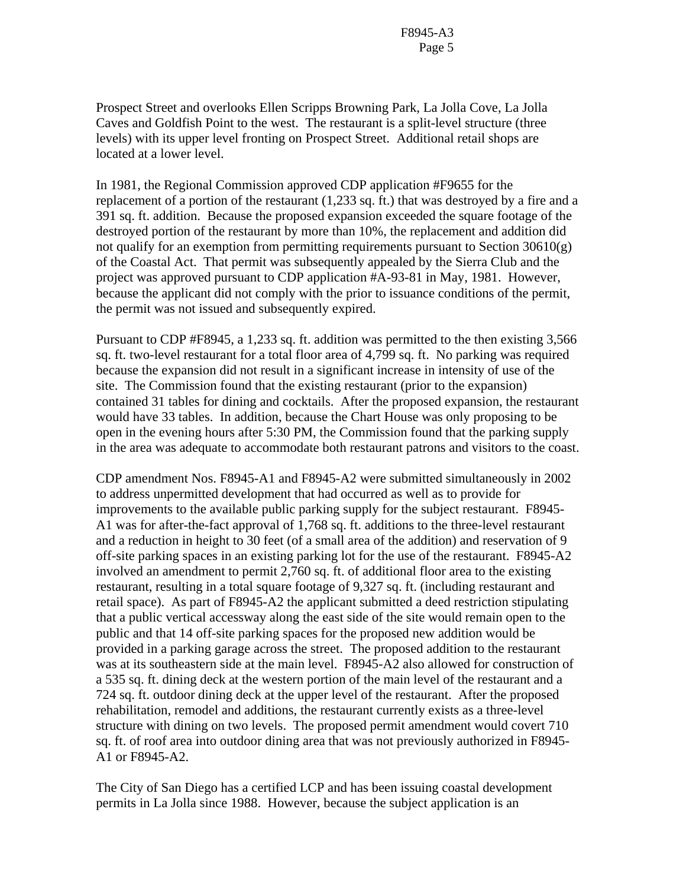Prospect Street and overlooks Ellen Scripps Browning Park, La Jolla Cove, La Jolla Caves and Goldfish Point to the west. The restaurant is a split-level structure (three levels) with its upper level fronting on Prospect Street. Additional retail shops are located at a lower level.

In 1981, the Regional Commission approved CDP application #F9655 for the replacement of a portion of the restaurant (1,233 sq. ft.) that was destroyed by a fire and a 391 sq. ft. addition. Because the proposed expansion exceeded the square footage of the destroyed portion of the restaurant by more than 10%, the replacement and addition did not qualify for an exemption from permitting requirements pursuant to Section  $30610(g)$ of the Coastal Act. That permit was subsequently appealed by the Sierra Club and the project was approved pursuant to CDP application #A-93-81 in May, 1981. However, because the applicant did not comply with the prior to issuance conditions of the permit, the permit was not issued and subsequently expired.

Pursuant to CDP #F8945, a 1,233 sq. ft. addition was permitted to the then existing 3,566 sq. ft. two-level restaurant for a total floor area of 4,799 sq. ft. No parking was required because the expansion did not result in a significant increase in intensity of use of the site. The Commission found that the existing restaurant (prior to the expansion) contained 31 tables for dining and cocktails. After the proposed expansion, the restaurant would have 33 tables. In addition, because the Chart House was only proposing to be open in the evening hours after 5:30 PM, the Commission found that the parking supply in the area was adequate to accommodate both restaurant patrons and visitors to the coast.

CDP amendment Nos. F8945-A1 and F8945-A2 were submitted simultaneously in 2002 to address unpermitted development that had occurred as well as to provide for improvements to the available public parking supply for the subject restaurant. F8945- A1 was for after-the-fact approval of 1,768 sq. ft. additions to the three-level restaurant and a reduction in height to 30 feet (of a small area of the addition) and reservation of 9 off-site parking spaces in an existing parking lot for the use of the restaurant. F8945-A2 involved an amendment to permit 2,760 sq. ft. of additional floor area to the existing restaurant, resulting in a total square footage of 9,327 sq. ft. (including restaurant and retail space). As part of F8945-A2 the applicant submitted a deed restriction stipulating that a public vertical accessway along the east side of the site would remain open to the public and that 14 off-site parking spaces for the proposed new addition would be provided in a parking garage across the street. The proposed addition to the restaurant was at its southeastern side at the main level. F8945-A2 also allowed for construction of a 535 sq. ft. dining deck at the western portion of the main level of the restaurant and a 724 sq. ft. outdoor dining deck at the upper level of the restaurant. After the proposed rehabilitation, remodel and additions, the restaurant currently exists as a three-level structure with dining on two levels. The proposed permit amendment would covert 710 sq. ft. of roof area into outdoor dining area that was not previously authorized in F8945- A1 or F8945-A2.

The City of San Diego has a certified LCP and has been issuing coastal development permits in La Jolla since 1988. However, because the subject application is an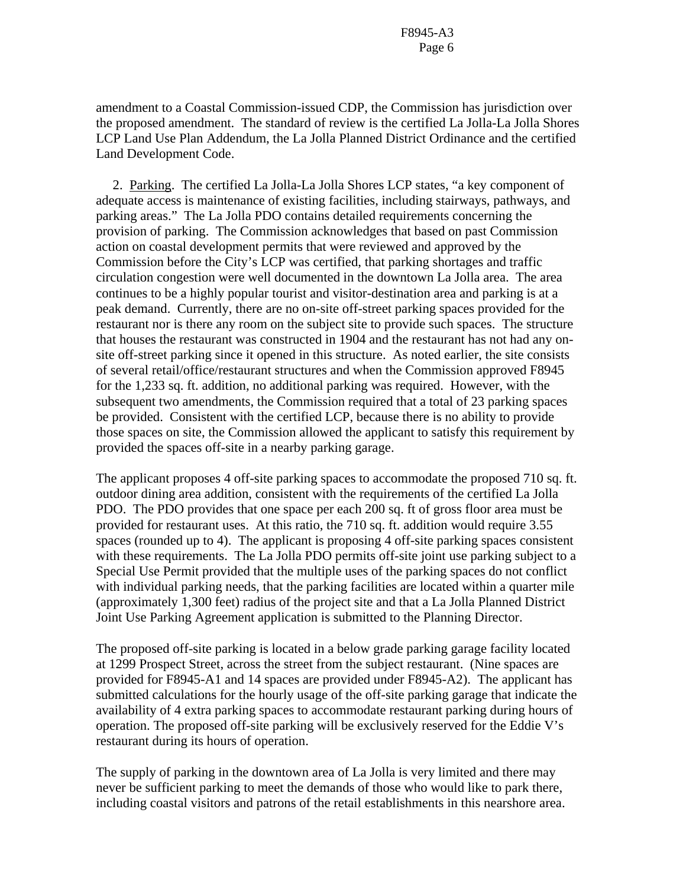amendment to a Coastal Commission-issued CDP, the Commission has jurisdiction over the proposed amendment. The standard of review is the certified La Jolla-La Jolla Shores LCP Land Use Plan Addendum, the La Jolla Planned District Ordinance and the certified Land Development Code.

 2. Parking. The certified La Jolla-La Jolla Shores LCP states, "a key component of adequate access is maintenance of existing facilities, including stairways, pathways, and parking areas." The La Jolla PDO contains detailed requirements concerning the provision of parking. The Commission acknowledges that based on past Commission action on coastal development permits that were reviewed and approved by the Commission before the City's LCP was certified, that parking shortages and traffic circulation congestion were well documented in the downtown La Jolla area. The area continues to be a highly popular tourist and visitor-destination area and parking is at a peak demand. Currently, there are no on-site off-street parking spaces provided for the restaurant nor is there any room on the subject site to provide such spaces. The structure that houses the restaurant was constructed in 1904 and the restaurant has not had any onsite off-street parking since it opened in this structure. As noted earlier, the site consists of several retail/office/restaurant structures and when the Commission approved F8945 for the 1,233 sq. ft. addition, no additional parking was required. However, with the subsequent two amendments, the Commission required that a total of 23 parking spaces be provided. Consistent with the certified LCP, because there is no ability to provide those spaces on site, the Commission allowed the applicant to satisfy this requirement by provided the spaces off-site in a nearby parking garage.

The applicant proposes 4 off-site parking spaces to accommodate the proposed 710 sq. ft. outdoor dining area addition, consistent with the requirements of the certified La Jolla PDO. The PDO provides that one space per each 200 sq. ft of gross floor area must be provided for restaurant uses. At this ratio, the 710 sq. ft. addition would require 3.55 spaces (rounded up to 4). The applicant is proposing 4 off-site parking spaces consistent with these requirements. The La Jolla PDO permits off-site joint use parking subject to a Special Use Permit provided that the multiple uses of the parking spaces do not conflict with individual parking needs, that the parking facilities are located within a quarter mile (approximately 1,300 feet) radius of the project site and that a La Jolla Planned District Joint Use Parking Agreement application is submitted to the Planning Director.

The proposed off-site parking is located in a below grade parking garage facility located at 1299 Prospect Street, across the street from the subject restaurant. (Nine spaces are provided for F8945-A1 and 14 spaces are provided under F8945-A2). The applicant has submitted calculations for the hourly usage of the off-site parking garage that indicate the availability of 4 extra parking spaces to accommodate restaurant parking during hours of operation. The proposed off-site parking will be exclusively reserved for the Eddie V's restaurant during its hours of operation.

The supply of parking in the downtown area of La Jolla is very limited and there may never be sufficient parking to meet the demands of those who would like to park there, including coastal visitors and patrons of the retail establishments in this nearshore area.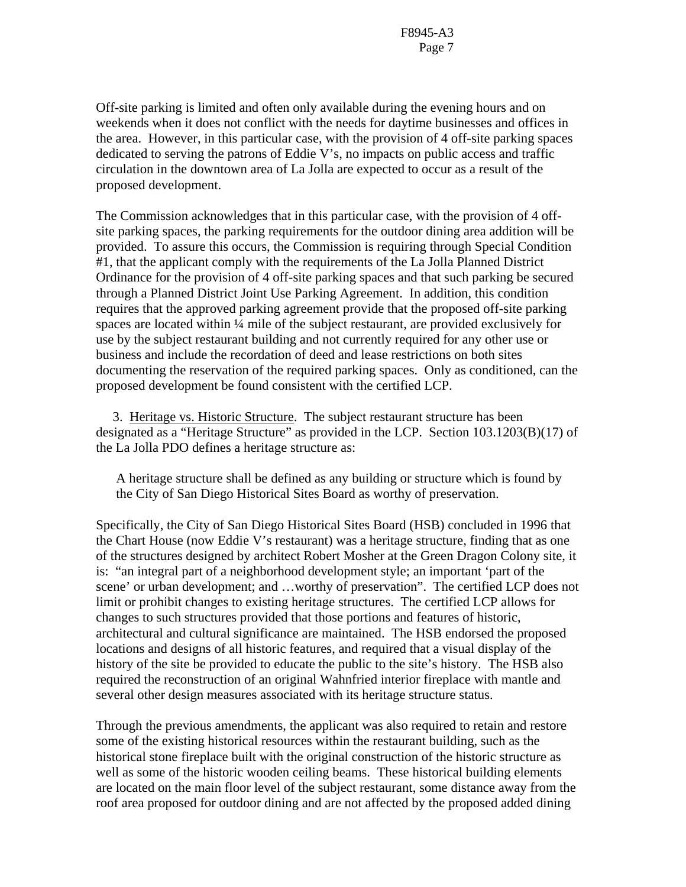Off-site parking is limited and often only available during the evening hours and on weekends when it does not conflict with the needs for daytime businesses and offices in the area. However, in this particular case, with the provision of 4 off-site parking spaces dedicated to serving the patrons of Eddie V's, no impacts on public access and traffic circulation in the downtown area of La Jolla are expected to occur as a result of the proposed development.

The Commission acknowledges that in this particular case, with the provision of 4 offsite parking spaces, the parking requirements for the outdoor dining area addition will be provided. To assure this occurs, the Commission is requiring through Special Condition #1, that the applicant comply with the requirements of the La Jolla Planned District Ordinance for the provision of 4 off-site parking spaces and that such parking be secured through a Planned District Joint Use Parking Agreement. In addition, this condition requires that the approved parking agreement provide that the proposed off-site parking spaces are located within 1/4 mile of the subject restaurant, are provided exclusively for use by the subject restaurant building and not currently required for any other use or business and include the recordation of deed and lease restrictions on both sites documenting the reservation of the required parking spaces. Only as conditioned, can the proposed development be found consistent with the certified LCP.

 3. Heritage vs. Historic Structure. The subject restaurant structure has been designated as a "Heritage Structure" as provided in the LCP. Section 103.1203(B)(17) of the La Jolla PDO defines a heritage structure as:

A heritage structure shall be defined as any building or structure which is found by the City of San Diego Historical Sites Board as worthy of preservation.

Specifically, the City of San Diego Historical Sites Board (HSB) concluded in 1996 that the Chart House (now Eddie V's restaurant) was a heritage structure, finding that as one of the structures designed by architect Robert Mosher at the Green Dragon Colony site, it is: "an integral part of a neighborhood development style; an important 'part of the scene' or urban development; and …worthy of preservation". The certified LCP does not limit or prohibit changes to existing heritage structures. The certified LCP allows for changes to such structures provided that those portions and features of historic, architectural and cultural significance are maintained. The HSB endorsed the proposed locations and designs of all historic features, and required that a visual display of the history of the site be provided to educate the public to the site's history. The HSB also required the reconstruction of an original Wahnfried interior fireplace with mantle and several other design measures associated with its heritage structure status.

Through the previous amendments, the applicant was also required to retain and restore some of the existing historical resources within the restaurant building, such as the historical stone fireplace built with the original construction of the historic structure as well as some of the historic wooden ceiling beams. These historical building elements are located on the main floor level of the subject restaurant, some distance away from the roof area proposed for outdoor dining and are not affected by the proposed added dining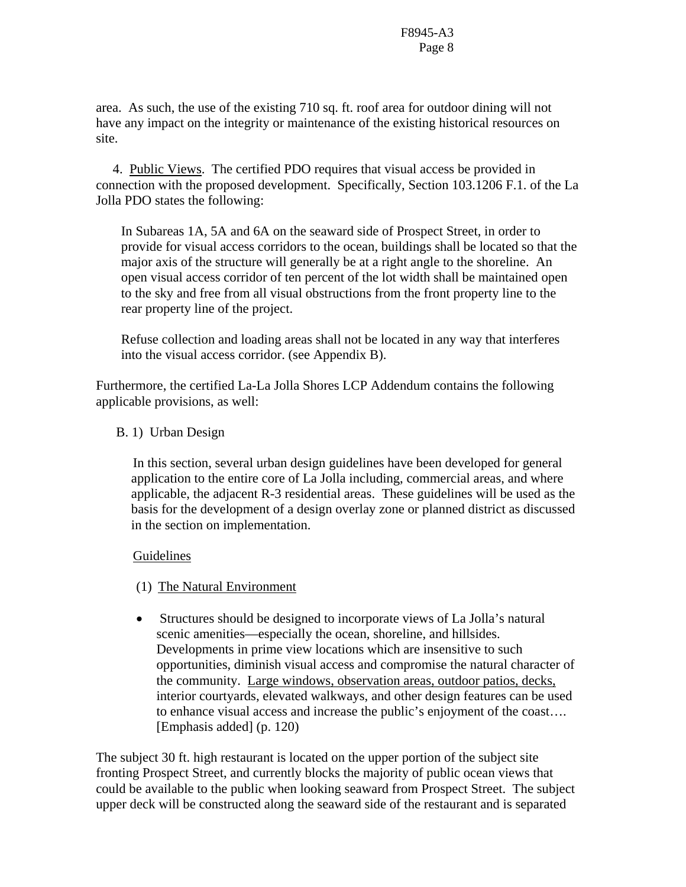area. As such, the use of the existing 710 sq. ft. roof area for outdoor dining will not have any impact on the integrity or maintenance of the existing historical resources on site.

 4. Public Views. The certified PDO requires that visual access be provided in connection with the proposed development. Specifically, Section 103.1206 F.1. of the La Jolla PDO states the following:

 In Subareas 1A, 5A and 6A on the seaward side of Prospect Street, in order to provide for visual access corridors to the ocean, buildings shall be located so that the major axis of the structure will generally be at a right angle to the shoreline. An open visual access corridor of ten percent of the lot width shall be maintained open to the sky and free from all visual obstructions from the front property line to the rear property line of the project.

Refuse collection and loading areas shall not be located in any way that interferes into the visual access corridor. (see Appendix B).

Furthermore, the certified La-La Jolla Shores LCP Addendum contains the following applicable provisions, as well:

#### B. 1) Urban Design

 In this section, several urban design guidelines have been developed for general application to the entire core of La Jolla including, commercial areas, and where applicable, the adjacent R-3 residential areas. These guidelines will be used as the basis for the development of a design overlay zone or planned district as discussed in the section on implementation.

#### Guidelines

- (1) The Natural Environment
- Structures should be designed to incorporate views of La Jolla's natural scenic amenities—especially the ocean, shoreline, and hillsides. Developments in prime view locations which are insensitive to such opportunities, diminish visual access and compromise the natural character of the community. Large windows, observation areas, outdoor patios, decks, interior courtyards, elevated walkways, and other design features can be used to enhance visual access and increase the public's enjoyment of the coast…. [Emphasis added] (p. 120)

The subject 30 ft. high restaurant is located on the upper portion of the subject site fronting Prospect Street, and currently blocks the majority of public ocean views that could be available to the public when looking seaward from Prospect Street. The subject upper deck will be constructed along the seaward side of the restaurant and is separated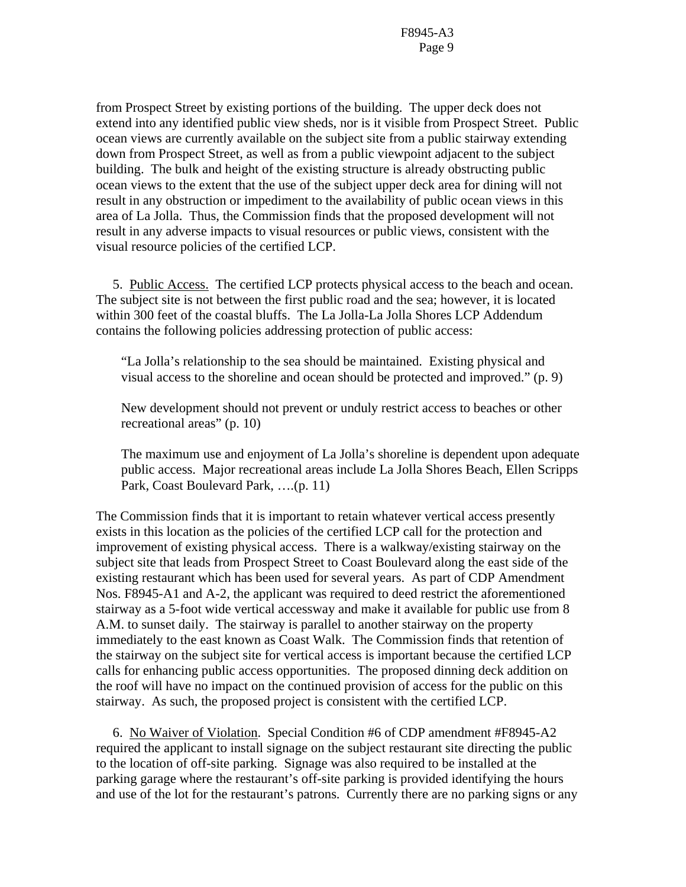from Prospect Street by existing portions of the building. The upper deck does not extend into any identified public view sheds, nor is it visible from Prospect Street. Public ocean views are currently available on the subject site from a public stairway extending down from Prospect Street, as well as from a public viewpoint adjacent to the subject building. The bulk and height of the existing structure is already obstructing public ocean views to the extent that the use of the subject upper deck area for dining will not result in any obstruction or impediment to the availability of public ocean views in this area of La Jolla. Thus, the Commission finds that the proposed development will not result in any adverse impacts to visual resources or public views, consistent with the visual resource policies of the certified LCP.

 5. Public Access. The certified LCP protects physical access to the beach and ocean. The subject site is not between the first public road and the sea; however, it is located within 300 feet of the coastal bluffs. The La Jolla-La Jolla Shores LCP Addendum contains the following policies addressing protection of public access:

 "La Jolla's relationship to the sea should be maintained. Existing physical and visual access to the shoreline and ocean should be protected and improved." (p. 9)

 New development should not prevent or unduly restrict access to beaches or other recreational areas" (p. 10)

 The maximum use and enjoyment of La Jolla's shoreline is dependent upon adequate public access. Major recreational areas include La Jolla Shores Beach, Ellen Scripps Park, Coast Boulevard Park, ….(p. 11)

The Commission finds that it is important to retain whatever vertical access presently exists in this location as the policies of the certified LCP call for the protection and improvement of existing physical access. There is a walkway/existing stairway on the subject site that leads from Prospect Street to Coast Boulevard along the east side of the existing restaurant which has been used for several years. As part of CDP Amendment Nos. F8945-A1 and A-2, the applicant was required to deed restrict the aforementioned stairway as a 5-foot wide vertical accessway and make it available for public use from 8 A.M. to sunset daily. The stairway is parallel to another stairway on the property immediately to the east known as Coast Walk. The Commission finds that retention of the stairway on the subject site for vertical access is important because the certified LCP calls for enhancing public access opportunities. The proposed dinning deck addition on the roof will have no impact on the continued provision of access for the public on this stairway. As such, the proposed project is consistent with the certified LCP.

 6. No Waiver of Violation. Special Condition #6 of CDP amendment #F8945-A2 required the applicant to install signage on the subject restaurant site directing the public to the location of off-site parking. Signage was also required to be installed at the parking garage where the restaurant's off-site parking is provided identifying the hours and use of the lot for the restaurant's patrons. Currently there are no parking signs or any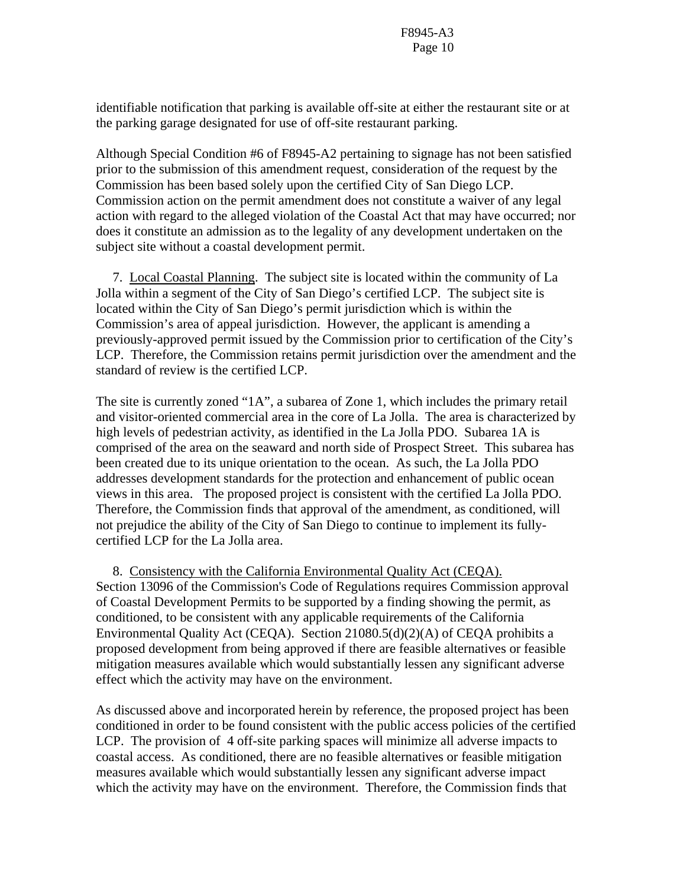identifiable notification that parking is available off-site at either the restaurant site or at the parking garage designated for use of off-site restaurant parking.

Although Special Condition #6 of F8945-A2 pertaining to signage has not been satisfied prior to the submission of this amendment request, consideration of the request by the Commission has been based solely upon the certified City of San Diego LCP. Commission action on the permit amendment does not constitute a waiver of any legal action with regard to the alleged violation of the Coastal Act that may have occurred; nor does it constitute an admission as to the legality of any development undertaken on the subject site without a coastal development permit.

 7. Local Coastal Planning. The subject site is located within the community of La Jolla within a segment of the City of San Diego's certified LCP. The subject site is located within the City of San Diego's permit jurisdiction which is within the Commission's area of appeal jurisdiction. However, the applicant is amending a previously-approved permit issued by the Commission prior to certification of the City's LCP. Therefore, the Commission retains permit jurisdiction over the amendment and the standard of review is the certified LCP.

The site is currently zoned "1A", a subarea of Zone 1, which includes the primary retail and visitor-oriented commercial area in the core of La Jolla. The area is characterized by high levels of pedestrian activity, as identified in the La Jolla PDO. Subarea 1A is comprised of the area on the seaward and north side of Prospect Street. This subarea has been created due to its unique orientation to the ocean. As such, the La Jolla PDO addresses development standards for the protection and enhancement of public ocean views in this area. The proposed project is consistent with the certified La Jolla PDO. Therefore, the Commission finds that approval of the amendment, as conditioned, will not prejudice the ability of the City of San Diego to continue to implement its fullycertified LCP for the La Jolla area.

 8. Consistency with the California Environmental Quality Act (CEQA). Section 13096 of the Commission's Code of Regulations requires Commission approval of Coastal Development Permits to be supported by a finding showing the permit, as conditioned, to be consistent with any applicable requirements of the California Environmental Quality Act (CEQA). Section 21080.5(d)(2)(A) of CEQA prohibits a proposed development from being approved if there are feasible alternatives or feasible mitigation measures available which would substantially lessen any significant adverse effect which the activity may have on the environment.

As discussed above and incorporated herein by reference, the proposed project has been conditioned in order to be found consistent with the public access policies of the certified LCP. The provision of 4 off-site parking spaces will minimize all adverse impacts to coastal access. As conditioned, there are no feasible alternatives or feasible mitigation measures available which would substantially lessen any significant adverse impact which the activity may have on the environment. Therefore, the Commission finds that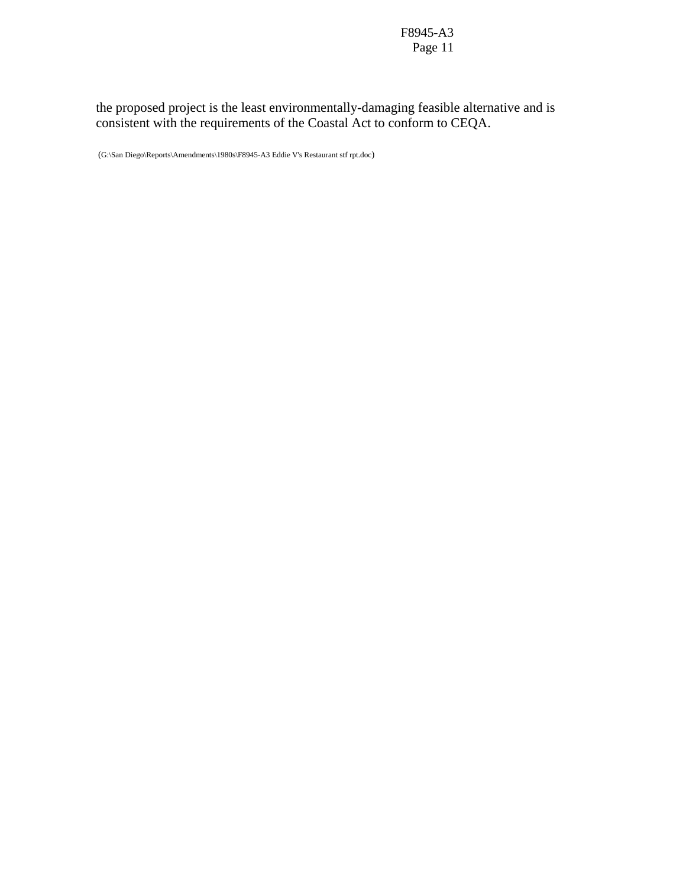the proposed project is the least environmentally-damaging feasible alternative and is consistent with the requirements of the Coastal Act to conform to CEQA.

(G:\San Diego\Reports\Amendments\1980s\F8945-A3 Eddie V's Restaurant stf rpt.doc)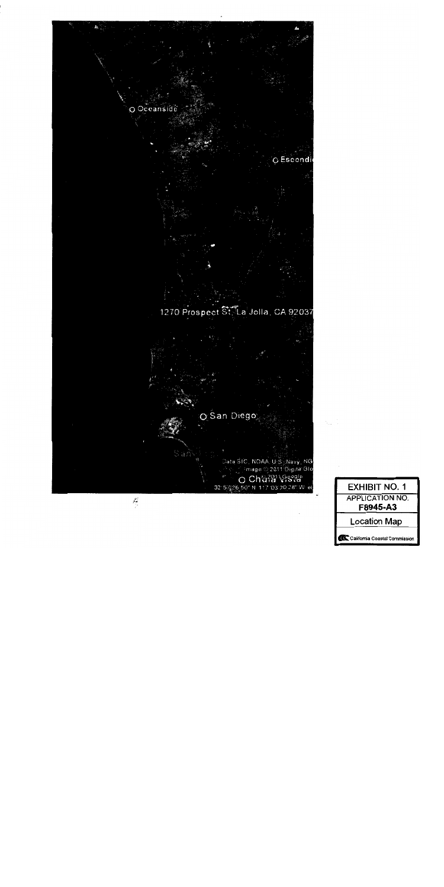

**EXHIBIT NO. 1 APPLICATION NO.** F8945-A3 Location Map California Coastal Commission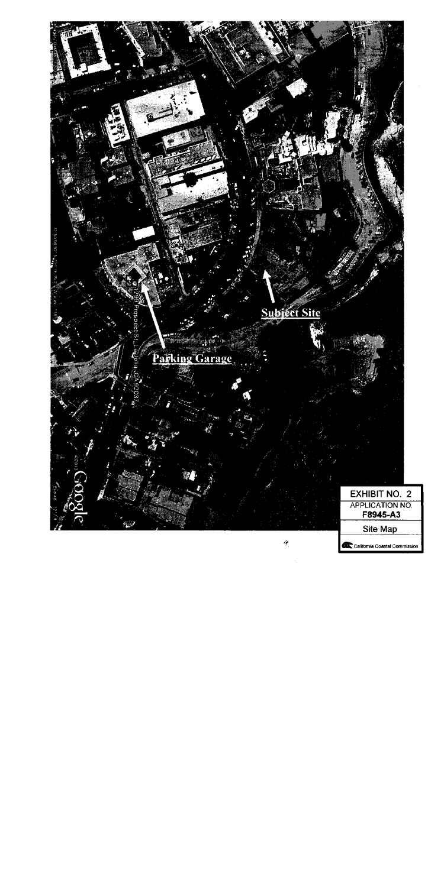